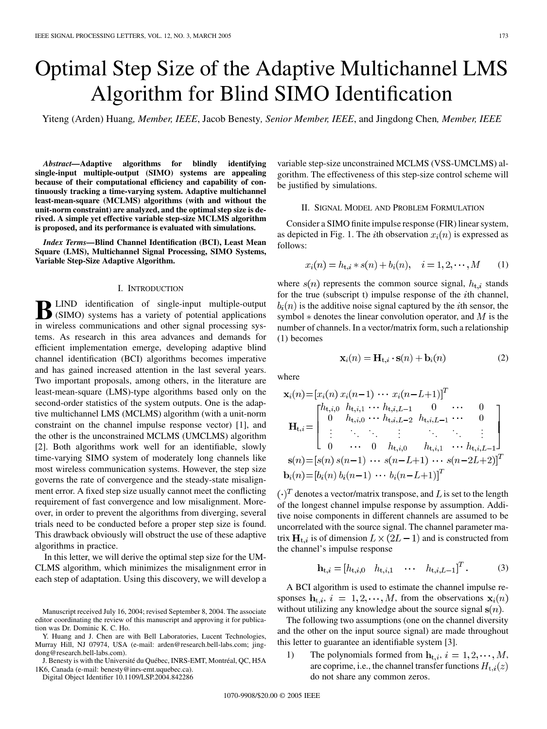# Optimal Step Size of the Adaptive Multichannel LMS Algorithm for Blind SIMO Identification

Yiteng (Arden) Huang*, Member, IEEE*, Jacob Benesty*, Senior Member, IEEE*, and Jingdong Chen*, Member, IEEE*

*Abstract—***Adaptive algorithms for blindly identifying single-input multiple-output (SIMO) systems are appealing because of their computational efficiency and capability of continuously tracking a time-varying system. Adaptive multichannel least-mean-square (MCLMS) algorithms (with and without the unit-norm constraint) are analyzed, and the optimal step size is derived. A simple yet effective variable step-size MCLMS algorithm is proposed, and its performance is evaluated with simulations.**

*Index Terms—***Blind Channel Identification (BCI), Least Mean Square (LMS), Multichannel Signal Processing, SIMO Systems, Variable Step-Size Adaptive Algorithm.**

## I. INTRODUCTION

**B**LIND identification of single-input multiple-output (SIMO) systems has a variety of potential applications in winelsex communications and other signal processing surin wireless communications and other signal processing systems. As research in this area advances and demands for efficient implementation emerge, developing adaptive blind channel identification (BCI) algorithms becomes imperative and has gained increased attention in the last several years. Two important proposals, among others, in the literature are least-mean-square (LMS)-type algorithms based only on the second-order statistics of the system outputs. One is the adaptive multichannel LMS (MCLMS) algorithm (with a unit-norm constraint on the channel impulse response vector) [[1](#page-3-0)], and the other is the unconstrained MCLMS (UMCLMS) algorithm [\[2](#page-3-0)]. Both algorithms work well for an identifiable, slowly time-varying SIMO system of moderately long channels like most wireless communication systems. However, the step size governs the rate of convergence and the steady-state misalignment error. A fixed step size usually cannot meet the conflicting requirement of fast convergence and low misalignment. Moreover, in order to prevent the algorithms from diverging, several trials need to be conducted before a proper step size is found. This drawback obviously will obstruct the use of these adaptive algorithms in practice.

In this letter, we will derive the optimal step size for the UM-CLMS algorithm, which minimizes the misalignment error in each step of adaptation. Using this discovery, we will develop a

Y. Huang and J. Chen are with Bell Laboratories, Lucent Technologies, Murray Hill, NJ 07974, USA (e-mail: arden@research.bell-labs.com; jingdong@research.bell-labs.com).

J. Benesty is with the Université du Québec, INRS-EMT, Montréal, QC, H5A 1K6, Canada (e-mail: benesty@inrs-emt.uquebec.ca).

Digital Object Identifier 10.1109/LSP.2004.842286

variable step-size unconstrained MCLMS (VSS-UMCLMS) algorithm. The effectiveness of this step-size control scheme will be justified by simulations.

#### II. SIGNAL MODEL AND PROBLEM FORMULATION

Consider a SIMO finite impulse response (FIR) linear system, as depicted in Fig. 1. The *i*th observation  $x_i(n)$  is expressed as follows:

$$
x_i(n) = h_{t,i} * s(n) + b_i(n), \quad i = 1, 2, \cdots, M \qquad (1)
$$

where  $s(n)$  represents the common source signal,  $h_{t,i}$  stands for the true (subscript t) impulse response of the  $i$ th channel,  $b_i(n)$  is the additive noise signal captured by the *i*th sensor, the symbol  $*$  denotes the linear convolution operator, and M is the number of channels. In a vector/matrix form, such a relationship (1) becomes

$$
\mathbf{x}_{i}(n) = \mathbf{H}_{t,i} \cdot \mathbf{s}(n) + \mathbf{b}_{i}(n) \tag{2}
$$

where

$$
\mathbf{x}_{i}(n) = [x_{i}(n) x_{i}(n-1) \cdots x_{i}(n-L+1)]^{T}
$$
\n
$$
\mathbf{H}_{t,i} = \begin{bmatrix}\nh_{t,i,0} & h_{t,i,1} & \cdots & h_{t,i,L-1} & 0 & \cdots & 0 \\
0 & h_{t,i,0} & \cdots & h_{t,i,L-2} & h_{t,i,L-1} & \cdots & 0 \\
\vdots & \ddots & \ddots & \vdots & \ddots & \ddots & \vdots \\
0 & \cdots & 0 & h_{t,i,0} & h_{t,i,1} & \cdots & h_{t,i,L-1}\n\end{bmatrix}
$$
\n
$$
\mathbf{s}(n) = [s(n) s(n-1) \cdots s(n-L+1) \cdots s(n-2L+2)]^{T}
$$
\n
$$
\mathbf{b}_{i}(n) = [b_{i}(n) b_{i}(n-1) \cdots b_{i}(n-L+1)]^{T}
$$

 $\left(\cdot\right)^{T}$  denotes a vector/matrix transpose, and L is set to the length of the longest channel impulse response by assumption. Additive noise components in different channels are assumed to be uncorrelated with the source signal. The channel parameter matrix  $H_{t,i}$  is of dimension  $L \times (2L - 1)$  and is constructed from the channel's impulse response

$$
\mathbf{h}_{t,i} = [h_{t,i,0} \quad h_{t,i,1} \quad \cdots \quad h_{t,i,L-1}]^T. \tag{3}
$$

A BCI algorithm is used to estimate the channel impulse responses  $h_{t,i}$ ,  $i = 1, 2, \dots, M$ , from the observations  $x_i(n)$ without utilizing any knowledge about the source signal  $s(n)$ .

The following two assumptions (one on the channel diversity and the other on the input source signal) are made throughout this letter to guarantee an identifiable system [\[3](#page-3-0)].

1) The polynomials formed from  $h_{t,i}$ ,  $i = 1, 2, \dots, M$ , are coprime, i.e., the channel transfer functions  $H_{t,i}(z)$ do not share any common zeros.

Manuscript received July 16, 2004; revised September 8, 2004. The associate editor coordinating the review of this manuscript and approving it for publication was Dr. Dominic K. C. Ho.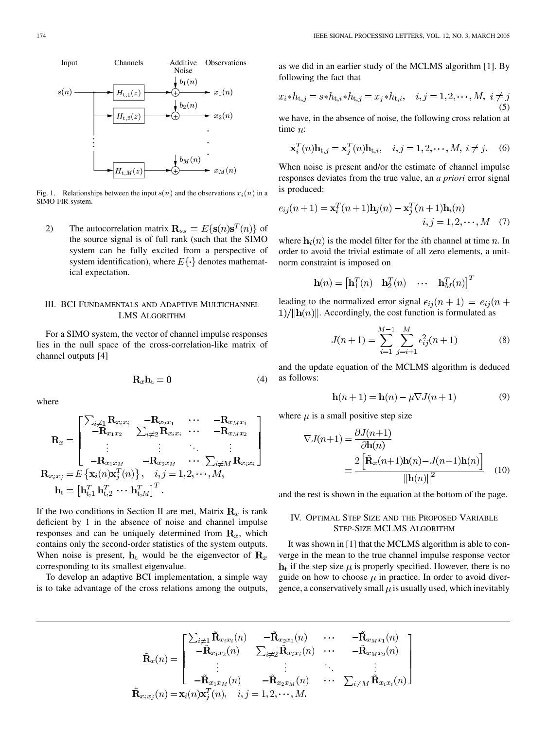Input Channels Additive Observations Noise  $b_1(n)$  $s(n)$  $H_{t,1}(z)$  $x_1(n)$  $b_2(n)$  $H_{t,2}(z)$  $x_2(n)$  $b_M(n)$  $H_{{\rm t},M}(z)$ 

Fig. 1. Relationships between the input  $s(n)$  and the observations  $x_i(n)$  in a SIMO FIR system.

2) The autocorrelation matrix  $\mathbf{R}_{ss} = E\{\mathbf{s}(n)\mathbf{s}^T(n)\}\$  of the source signal is of full rank (such that the SIMO system can be fully excited from a perspective of system identification), where  $E\{\cdot\}$  denotes mathematical expectation.

# III. BCI FUNDAMENTALS AND ADAPTIVE MULTICHANNEL LMS ALGORITHM

For a SIMO system, the vector of channel impulse responses lies in the null space of the cross-correlation-like matrix of channel outputs [\[4](#page-3-0)]

$$
\mathbf{R}_x \mathbf{h}_t = \mathbf{0} \tag{4}
$$

where

$$
\mathbf{R}_{x} = \begin{bmatrix} \sum_{i \neq 1} \mathbf{R}_{x_i x_i} & -\mathbf{R}_{x_2 x_1} & \cdots & -\mathbf{R}_{x_M x_1} \\ -\mathbf{R}_{x_1 x_2} & \sum_{i \neq 2} \mathbf{R}_{x_i x_i} & \cdots & -\mathbf{R}_{x_M x_2} \\ \vdots & \vdots & \ddots & \vdots \\ -\mathbf{R}_{x_1 x_M} & -\mathbf{R}_{x_2 x_M} & \cdots & \sum_{i \neq M} \mathbf{R}_{x_i x_i} \end{bmatrix}
$$

$$
\mathbf{R}_{x_i x_j} = E \{ \mathbf{x}_i(n) \mathbf{x}_j^T(n) \}, \quad i, j = 1, 2, \cdots, M,
$$

$$
\mathbf{h}_t = \begin{bmatrix} \mathbf{h}_{t,1}^T & \mathbf{h}_{t,2}^T & \cdots & \mathbf{h}_{t,M}^T \end{bmatrix}^T.
$$

If the two conditions in Section II are met, Matrix  $\mathbf{R}_x$  is rank deficient by 1 in the absence of noise and channel impulse responses and can be uniquely determined from  $\mathbf{R}_x$ , which contains only the second-order statistics of the system outputs. When noise is present,  $h_t$  would be the eigenvector of  $\mathbf{R}_x$ corresponding to its smallest eigenvalue.

To develop an adaptive BCI implementation, a simple way is to take advantage of the cross relations among the outputs, as we did in an earlier study of the MCLMS algorithm [\[1](#page-3-0)]. By following the fact that

$$
x_i * h_{t,j} = s * h_{t,i} * h_{t,j} = x_j * h_{t,i}, \quad i, j = 1, 2, \cdots, M, \ i \neq j
$$
\n(5)

we have, in the absence of noise, the following cross relation at time  $n$ :

$$
\mathbf{x}_i^T(n)\mathbf{h}_{t,j} = \mathbf{x}_j^T(n)\mathbf{h}_{t,i}, \quad i, j = 1, 2, \cdots, M, \ i \neq j. \tag{6}
$$

When noise is present and/or the estimate of channel impulse responses deviates from the true value, an *a priori* error signal is produced:

$$
e_{ij}(n+1) = \mathbf{x}_i^T(n+1)\mathbf{h}_j(n) - \mathbf{x}_j^T(n+1)\mathbf{h}_i(n)
$$
  

$$
i, j = 1, 2, \cdots, M \quad (7)
$$

where  $\mathbf{h}_i(n)$  is the model filter for the *i*th channel at time *n*. In order to avoid the trivial estimate of all zero elements, a unitnorm constraint is imposed on

$$
\mathbf{h}(n) = \begin{bmatrix} \mathbf{h}_1^T(n) & \mathbf{h}_2^T(n) & \cdots & \mathbf{h}_M^T(n) \end{bmatrix}^T
$$

leading to the normalized error signal  $\epsilon_{ij}(n+1) = e_{ij}(n+1)$  $1/||h(n)||$ . Accordingly, the cost function is formulated as

$$
J(n+1) = \sum_{i=1}^{M-1} \sum_{j=i+1}^{M} \epsilon_{ij}^2(n+1)
$$
 (8)

and the update equation of the MCLMS algorithm is deduced as follows:

$$
\mathbf{h}(n+1) = \mathbf{h}(n) - \mu \nabla J(n+1) \tag{9}
$$

where  $\mu$  is a small positive step size

$$
\nabla J(n+1) = \frac{\partial J(n+1)}{\partial \mathbf{h}(n)}
$$
  
= 
$$
\frac{2 \left[\tilde{\mathbf{R}}_x(n+1)\mathbf{h}(n) - J(n+1)\mathbf{h}(n)\right]}{\left\|\mathbf{h}(n)\right\|^2}
$$
 (10)

and the rest is shown in the equation at the bottom of the page.

# IV. OPTIMAL STEP SIZE AND THE PROPOSED VARIABLE STEP-SIZE MCLMS ALGORITHM

It was shown in [[1\]](#page-3-0) that the MCLMS algorithm is able to converge in the mean to the true channel impulse response vector  $h_t$  if the step size  $\mu$  is properly specified. However, there is no guide on how to choose  $\mu$  in practice. In order to avoid divergence, a conservatively small  $\mu$  is usually used, which inevitably

$$
\tilde{\mathbf{R}}_x(n) = \begin{bmatrix}\n\sum_{i \neq 1} \tilde{\mathbf{R}}_{x_i x_i}(n) & -\tilde{\mathbf{R}}_{x_2 x_1}(n) & \cdots & -\tilde{\mathbf{R}}_{x_M x_1}(n) \\
-\tilde{\mathbf{R}}_{x_1 x_2}(n) & \sum_{i \neq 2} \tilde{\mathbf{R}}_{x_i x_i}(n) & \cdots & -\tilde{\mathbf{R}}_{x_M x_2}(n) \\
\vdots & \vdots & \ddots & \vdots \\
-\tilde{\mathbf{R}}_{x_1 x_M}(n) & -\tilde{\mathbf{R}}_{x_2 x_M}(n) & \cdots & \sum_{i \neq M} \tilde{\mathbf{R}}_{x_i x_i}(n)\n\end{bmatrix}
$$
\n
$$
\tilde{\mathbf{R}}_{x_i x_j}(n) = \mathbf{x}_i(n) \mathbf{x}_j^T(n), \quad i, j = 1, 2, \cdots, M.
$$

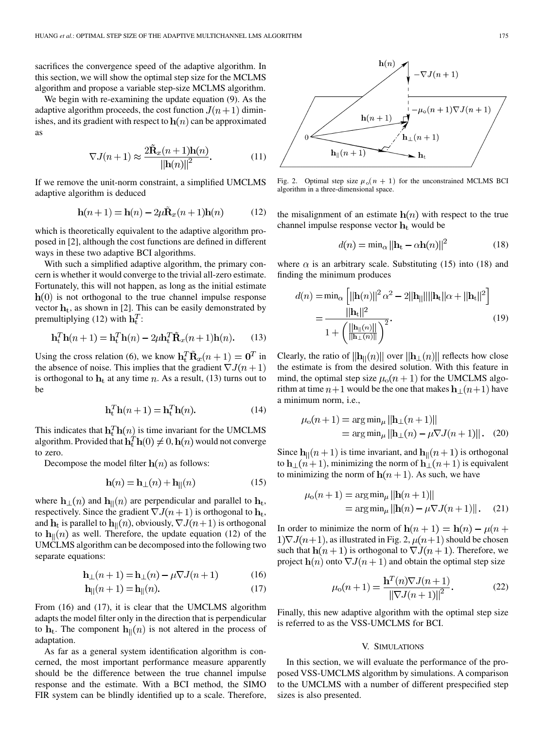sacrifices the convergence speed of the adaptive algorithm. In this section, we will show the optimal step size for the MCLMS algorithm and propose a variable step-size MCLMS algorithm.

We begin with re-examining the update equation (9). As the adaptive algorithm proceeds, the cost function  $J(n+1)$  diminishes, and its gradient with respect to  $h(n)$  can be approximated as

$$
\nabla J(n+1) \approx \frac{2\mathbf{R}_x(n+1)\mathbf{h}(n)}{\|\mathbf{h}(n)\|^2}.
$$
 (11)

If we remove the unit-norm constraint, a simplified UMCLMS adaptive algorithm is deduced

$$
\mathbf{h}(n+1) = \mathbf{h}(n) - 2\mu \tilde{\mathbf{R}}_x(n+1)\mathbf{h}(n) \tag{12}
$$

which is theoretically equivalent to the adaptive algorithm proposed in [[2\]](#page-3-0), although the cost functions are defined in different ways in these two adaptive BCI algorithms.

With such a simplified adaptive algorithm, the primary concern is whether it would converge to the trivial all-zero estimate. Fortunately, this will not happen, as long as the initial estimate  $h(0)$  is not orthogonal to the true channel impulse response vector  $h_t$ , as shown in [\[2](#page-3-0)]. This can be easily demonstrated by premultiplying (12) with  $\mathbf{h}^T$ :

$$
\mathbf{h}_t^T \mathbf{h}(n+1) = \mathbf{h}_t^T \mathbf{h}(n) - 2\mu \mathbf{h}_t^T \tilde{\mathbf{R}}_x(n+1) \mathbf{h}(n).
$$
 (13)

Using the cross relation (6), we know  $\mathbf{h}_t^T \tilde{\mathbf{R}}_x(n+1) = \mathbf{0}^T$  in the absence of noise. This implies that the gradient  $\nabla J(n+1)$ is orthogonal to  $h_t$  at any time n. As a result, (13) turns out to be

$$
\mathbf{h}_t^T \mathbf{h}(n+1) = \mathbf{h}_t^T \mathbf{h}(n). \tag{14}
$$

This indicates that  $\mathbf{h}_t^T \mathbf{h}(n)$  is time invariant for the UMCLMS algorithm. Provided that  $\mathbf{h}_t^T \mathbf{h}(0) \neq 0$ ,  $\mathbf{h}(n)$  would not converge to zero.

Decompose the model filter  $h(n)$  as follows:

$$
\mathbf{h}(n) = \mathbf{h}_{\perp}(n) + \mathbf{h}_{\parallel}(n) \tag{15}
$$

where  $\mathbf{h}_{\perp}(n)$  and  $\mathbf{h}_{\parallel}(n)$  are perpendicular and parallel to  $\mathbf{h}_{\mathrm{t}}$ , respectively. Since the gradient  $\nabla J(n + 1)$  is orthogonal to  $\mathbf{h}_t$ , and  $\mathbf{h}_t$  is parallel to  $\mathbf{h}_{\parallel}(n)$ , obviously,  $\nabla J(n+1)$  is orthogonal to  $\mathbf{h}_{\parallel}(n)$  as well. Therefore, the update equation (12) of the UMCLMS algorithm can be decomposed into the following two separate equations:

$$
\mathbf{h}_{\perp}(n+1) = \mathbf{h}_{\perp}(n) - \mu \nabla J(n+1) \tag{16}
$$

$$
\mathbf{h}_{||}(n+1) = \mathbf{h}_{||}(n). \tag{17}
$$

From (16) and (17), it is clear that the UMCLMS algorithm adapts the model filter only in the direction that is perpendicular to  $\mathbf{h}_t$ . The component  $\mathbf{h}_{\parallel}(n)$  is not altered in the process of adaptation.

As far as a general system identification algorithm is concerned, the most important performance measure apparently should be the difference between the true channel impulse response and the estimate. With a BCI method, the SIMO FIR system can be blindly identified up to a scale. Therefore,



Fig. 2. Optimal step size  $\mu_0(n + 1)$  for the unconstrained MCLMS BCI algorithm in a three-dimensional space.

the misalignment of an estimate  $h(n)$  with respect to the true channel impulse response vector  $h_t$  would be

$$
d(n) = \min_{\alpha} ||\mathbf{h}_{t} - \alpha \mathbf{h}(n)||^{2}
$$
 (18)

where  $\alpha$  is an arbitrary scale. Substituting (15) into (18) and finding the minimum produces

$$
d(n) = \min_{\alpha} \left[ ||\mathbf{h}(n)||^2 \alpha^2 - 2||\mathbf{h}_{||}|| ||\mathbf{h}_{t}||\alpha + ||\mathbf{h}_{t}||^2 \right]
$$
  
= 
$$
\frac{||\mathbf{h}_{t}||^2}{1 + \left( \frac{||\mathbf{h}_{||}(n)||}{||\mathbf{h}_{\perp}(n)||} \right)^2}.
$$
 (19)

Clearly, the ratio of  $\|\mathbf{h}_{\parallel}(n)\|$  over  $\|\mathbf{h}_{\perp}(n)\|$  reflects how close the estimate is from the desired solution. With this feature in mind, the optimal step size  $\mu_0(n+1)$  for the UMCLMS algorithm at time  $n+1$  would be the one that makes  $\mathbf{h}_{\perp}(n+1)$  have a minimum norm, i.e.,

$$
\mu_0(n+1) = \arg\min_{\mu} ||\mathbf{h}_{\perp}(n+1)||
$$
  
=  $\arg\min_{\mu} ||\mathbf{h}_{\perp}(n) - \mu \nabla J(n+1)||$ . (20)

Since  $\mathbf{h}_{\parallel}(n+1)$  is time invariant, and  $\mathbf{h}_{\parallel}(n+1)$  is orthogonal to  $\mathbf{h}_{\perp}(n+1)$ , minimizing the norm of  $\mathbf{h}_{\perp}(n+1)$  is equivalent to minimizing the norm of  $h(n + 1)$ . As such, we have

$$
\mu_0(n+1) = \arg\min_{\mu} ||\mathbf{h}(n+1)||
$$
  
=  $\arg\min_{\mu} ||\mathbf{h}(n) - \mu \nabla J(n+1)||$ . (21)

In order to minimize the norm of  $h(n + 1) = h(n) - \mu(n + 1)$  $1)\nabla J(n+1)$ , as illustrated in Fig. 2,  $\mu(n+1)$  should be chosen such that  $h(n + 1)$  is orthogonal to  $\nabla J(n + 1)$ . Therefore, we project  $h(n)$  onto  $\nabla J(n + 1)$  and obtain the optimal step size

$$
\mu_{o}(n+1) = \frac{\mathbf{h}^{T}(n)\nabla J(n+1)}{\left\|\nabla J(n+1)\right\|^{2}}.
$$
 (22)

Finally, this new adaptive algorithm with the optimal step size is referred to as the VSS-UMCLMS for BCI.

## V. SIMULATIONS

In this section, we will evaluate the performance of the proposed VSS-UMCLMS algorithm by simulations. A comparison to the UMCLMS with a number of different prespecified step sizes is also presented.